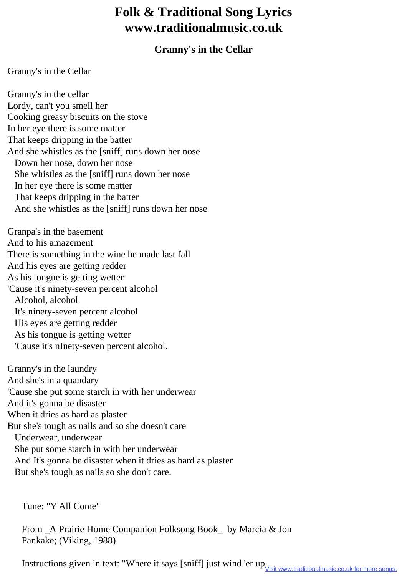## **Folk & Traditional Song Lyrics www.traditionalmusic.co.uk**

## **Granny's in the Cellar**

## Granny's in the Cellar

Granny's in the cellar Lordy, can't you smell her Cooking greasy biscuits on the stove In her eye there is some matter That keeps dripping in the batter And she whistles as the [sniff] runs down her nose Down her nose, down her nose She whistles as the [sniff] runs down her nose In her eye there is some matter That keeps dripping in the batter And she whistles as the [sniff] runs down her nose

Granpa's in the basement And to his amazement There is something in the wine he made last fall And his eyes are getting redder As his tongue is getting wetter 'Cause it's ninety-seven percent alcohol Alcohol, alcohol It's ninety-seven percent alcohol His eyes are getting redder As his tongue is getting wetter 'Cause it's nInety-seven percent alcohol.

Granny's in the laundry And she's in a quandary 'Cause she put some starch in with her underwear And it's gonna be disaster When it dries as hard as plaster But she's tough as nails and so she doesn't care Underwear, underwear She put some starch in with her underwear And It's gonna be disaster when it dries as hard as plaster But she's tough as nails so she don't care.

Tune: "Y'All Come"

 From \_A Prairie Home Companion Folksong Book\_ by Marcia & Jon Pankake; (Viking, 1988)

Instructions given in text: "Where it says [sniff] just wind 'er up<sub>Visit www.traditionalmusic.co.uk for more songs.</sub>